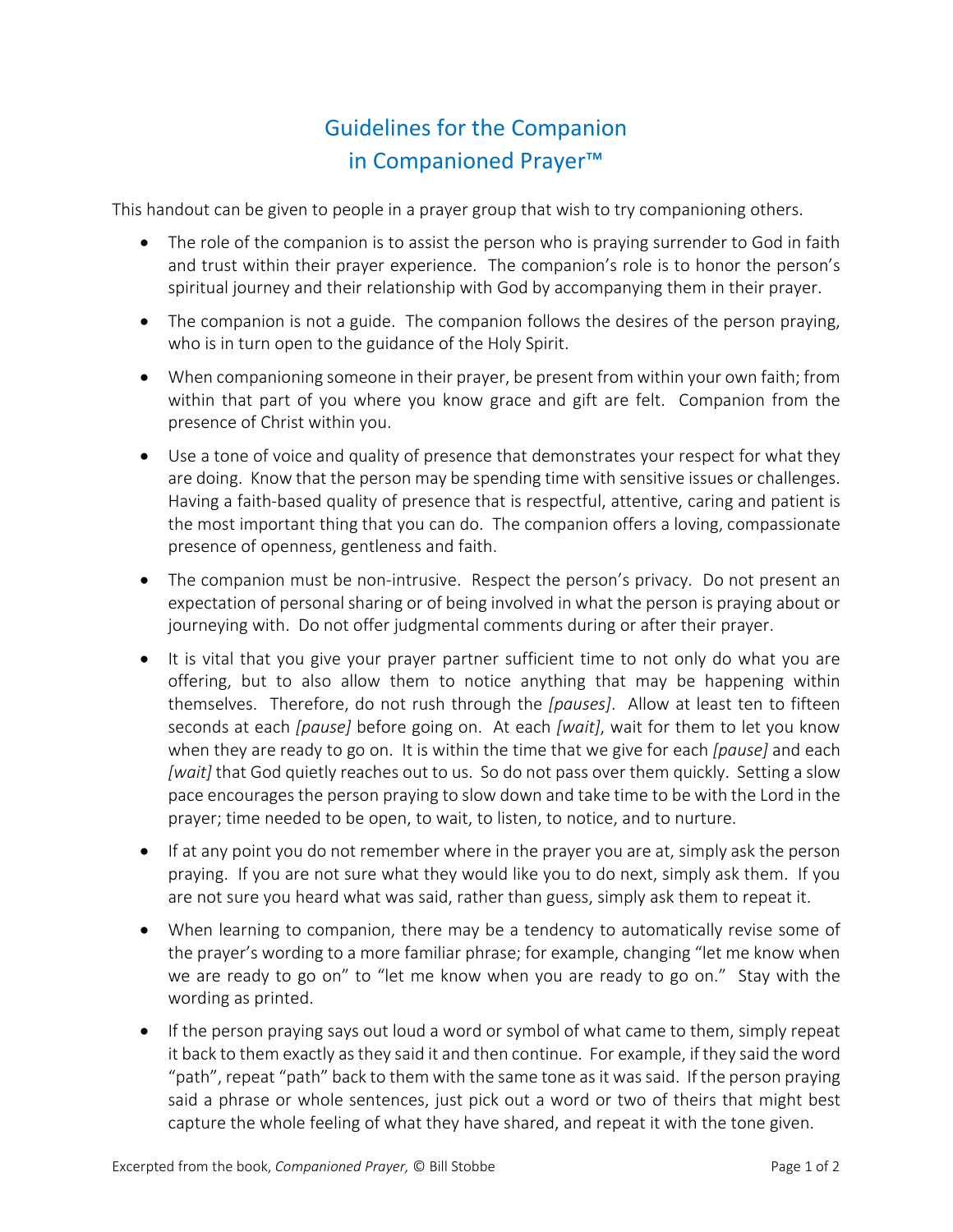## Guidelines for the Companion in Companioned Prayer™

This handout can be given to people in a prayer group that wish to try companioning others.

- The role of the companion is to assist the person who is praying surrender to God in faith and trust within their prayer experience. The companion's role is to honor the person's spiritual journey and their relationship with God by accompanying them in their prayer.
- The companion is not a guide. The companion follows the desires of the person praying, who is in turn open to the guidance of the Holy Spirit.
- When companioning someone in their prayer, be present from within your own faith; from within that part of you where you know grace and gift are felt. Companion from the presence of Christ within you.
- Use a tone of voice and quality of presence that demonstrates your respect for what they are doing. Know that the person may be spending time with sensitive issues or challenges. Having a faith-based quality of presence that is respectful, attentive, caring and patient is the most important thing that you can do. The companion offers a loving, compassionate presence of openness, gentleness and faith.
- The companion must be non-intrusive. Respect the person's privacy. Do not present an expectation of personal sharing or of being involved in what the person is praying about or journeying with. Do not offer judgmental comments during or after their prayer.
- It is vital that you give your prayer partner sufficient time to not only do what you are offering, but to also allow them to notice anything that may be happening within themselves. Therefore, do not rush through the *[pauses]*. Allow at least ten to fifteen seconds at each *[pause]* before going on. At each *[wait]*, wait for them to let you know when they are ready to go on. It is within the time that we give for each *[pause]* and each *[wait]* that God quietly reaches out to us. So do not pass over them quickly. Setting a slow pace encourages the person praying to slow down and take time to be with the Lord in the prayer; time needed to be open, to wait, to listen, to notice, and to nurture.
- If at any point you do not remember where in the prayer you are at, simply ask the person praying. If you are not sure what they would like you to do next, simply ask them. If you are not sure you heard what was said, rather than guess, simply ask them to repeat it.
- When learning to companion, there may be a tendency to automatically revise some of the prayer's wording to a more familiar phrase; for example, changing "let me know when we are ready to go on" to "let me know when you are ready to go on." Stay with the wording as printed.
- If the person praying says out loud a word or symbol of what came to them, simply repeat it back to them exactly as they said it and then continue. For example, if they said the word "path", repeat "path" back to them with the same tone as it was said. If the person praying said a phrase or whole sentences, just pick out a word or two of theirs that might best capture the whole feeling of what they have shared, and repeat it with the tone given.